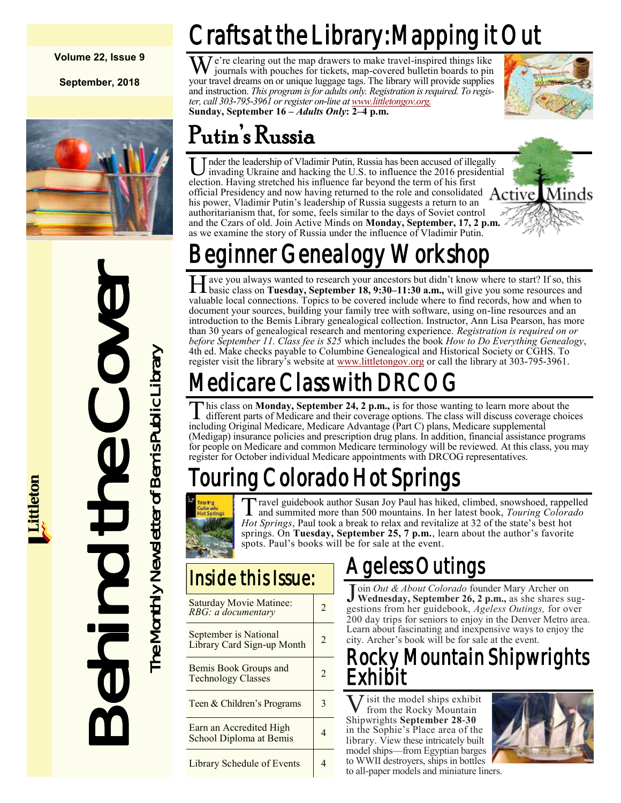#### **Volume 22, Issue 9**

**September, 2018**



Behind the Cover The Monthly Newsletter of Bemis Public Library The Monthly Newsletter of Bemis Public Library

## Crafts at the Library: Mapping it Out

 $M<sup>e</sup>$ 're clearing out the map drawers to make travel-inspired things like journals with pouches for tickets, map-covered bulletin boards to pin your travel dreams on or unique luggage tags. The library will provide supplies and instruction. *This program is for adults only. Registration is required. To register, call 303-795-3961 or register on-line at [www.littletongov.org.](https://www.littletongov.org/city-services/city-departments/bemis-library/library-events-calendar/-curm-9/-cury-2018/-selcat-3)* **Sunday, September 16 –** *Adults Only***: 2–4 p.m.**



## Putin's Russia

U nder the leadership of Vladimir Putin, Russia has been accused of illegency invading Ukraine and hacking the U.S. to influence the 2016 presidencion. Having stretched his influence far beyond the term of his first nder the leadership of Vladimir Putin, Russia has been accused of illegally invading Ukraine and hacking the U.S. to influence the 2016 presidential official Presidency and now having returned to the role and consolidated Active his power, Vladimir Putin's leadership of Russia suggests a return to an authoritarianism that, for some, feels similar to the days of Soviet control and the Czars of old. Join Active Minds on **Monday, September, 17, 2 p.m.**  as we examine the story of Russia under the influence of Vladimir Putin.



## nner Genealogy Workshop

H ave you always wanted to research your ancestors but didn't know where to start? If so, this basic class on **Tuesday, September 18, 9:30–11:30 a.m.**, will give you some resources and ave you always wanted to research your ancestors but didn't know where to start? If so, this valuable local connections. Topics to be covered include where to find records, how and when to document your sources, building your family tree with software, using on-line resources and an introduction to the Bemis Library genealogical collection. Instructor, Ann Lisa Pearson, has more than 30 years of genealogical research and mentoring experience. *Registration is required on or before September 11. Class fee is \$25* which includes the book *How to Do Everything Genealogy*, 4th ed. Make checks payable to Columbine Genealogical and Historical Society or CGHS. To register visit the library's website at [www.littletongov.org](https://www.littletongov.org/city-services/city-departments/bemis-library/library-events-calendar/-curm-9/-cury-2018/-selcat-3) or call the library at 303-795-3961.

## 1edicare Class with DRC  $\,$

This class on Monday, September 24, 2 p.m., is for those wanting to learn more about different parts of Medicare and their coverage options. The class will discuss coverage including Original Medicare, Medicare Advantage ( his class on **Monday, September 24, 2 p.m.,** is for those wanting to learn more about the different parts of Medicare and their coverage options. The class will discuss coverage choices (Medigap) insurance policies and prescription drug plans. In addition, financial assistance programs for people on Medicare and common Medicare terminology will be reviewed. At this class, you may register for October individual Medicare appointments with DRCOG representatives.

## ng Colorado Hot Springs



T ravel guidebook author Susan Joy Paul has hiked, climbed, snowshoed, rappelled and summited more than 500 mountains. In her latest book, *Touring Colorado Hot Springs*, Paul took a break to relax and revitalize at 32 of the state's best hot springs. On **Tuesday, September 25, 7 p.m.**, learn about the author's favorite spots. Paul's books will be for sale at the event.

### Inside this Issue:

| Saturday Movie Matinee:<br>RBG: a documentary       | 2 |
|-----------------------------------------------------|---|
| September is National<br>Library Card Sign-up Month | 2 |
| Bemis Book Groups and<br><b>Technology Classes</b>  | 2 |
| Teen & Children's Programs                          | 3 |
| Earn an Accredited High<br>School Diploma at Bemis  |   |
| <b>Library Schedule of Events</b>                   |   |

## Ageless Outings

J oin *Out & About Colorado* founder Mary Archer on **Wednesday, September 26, 2 p.m.,** as she shares suggestions from her guidebook, *Ageless Outings,* for over 200 day trips for seniors to enjoy in the Denver Metro area. Learn about fascinating and inexpensive ways to enjoy the city. Archer's book will be for sale at the event.

#### y Mountain Shipwrights Exhibit

**V** isit the model ships exhib<br>
Shipwrights **September 28-30** isit the model ships exhibit from the Rocky Mountain in the Sophie's Place area of the library. View these intricately built model ships—from Egyptian barges to WWII destroyers, ships in bottles to all-paper models and miniature liners.

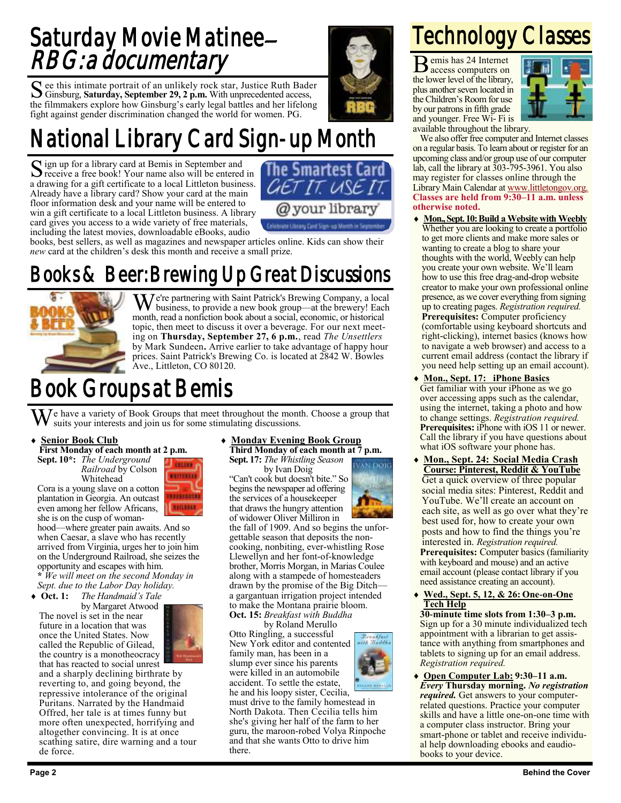### Saturday Movie Matinee– RBG: a documentary

See this intimate portrait of an unlikely rock star, Justice Ruth Bader<br>Ginsburg, Saturday, September 29, 2 p.m. With unprecedented access, Ginsburg, **Saturday, September 29, 2 p.m.** With unprecedented access, the filmmakers explore how Ginsburg's early legal battles and her lifelong fight against gender discrimination changed the world for women. PG.

## National Library Card Sign-up Month

Sign up for a library card at Bemis in September and<br>
Signe the set of receive a free book! Your name also will be entered receive a free book! Your name also will be entered in a drawing for a gift certificate to a local Littleton business. Already have a library card? Show your card at the main floor information desk and your name will be entered to win a gift certificate to a local Littleton business. A library card gives you access to a wide variety of free materials, including the latest movies, downloadable eBooks, audio



books, best sellers, as well as magazines and newspaper articles online. Kids can show their *new* card at the children's desk this month and receive a small prize.

### Books & Beer: Brewing Up Great Discussions



 $\mathbf{W}$  e're partnering with Saint Patrick's Brewing Company, a local business, to provide a new book group—at the brewery! Each month, read a nonfiction book about a social, economic, or historical topic, then meet to discuss it over a beverage. For our next meeting on **Thursday, September 27, 6 p.m.**, read *The Unsettlers*  by Mark Sundeen**.** Arrive earlier to take advantage of happy hour prices. Saint Patrick's Brewing Co. is located at 2842 W. Bowles Ave., Littleton, CO 80120.

### Book Groups at Bemis

We have a variety of Book Groups that meet throughout the month. Choose a group that suits your interests and join us for some stimulating discussions.

> estosk **ETTIMERS**

**NYENGROUN** RAILEEAD

#### **Senior Book Club**

**First Monday of each month at 2 p.m.**

**Sept. 10\*:** *The Underground Railroad* by Colson Whitehead

Cora is a young slave on a cotton plantation in Georgia. An outcast even among her fellow Africans, she is on the cusp of woman-

hood—where greater pain awaits. And so when Caesar, a slave who has recently arrived from Virginia, urges her to join him on the Underground Railroad, she seizes the opportunity and escapes with him. **\*** *We will meet on the second Monday in* 

*Sept. due to the Labor Day holiday.* **Oct. 1:** *The Handmaid's Tale*

by Margaret Atwood

The novel is set in the near future in a location that was once the United States. Now called the Republic of Gilead, the country is a monotheocracy



that has reacted to social unrest and a sharply declining birthrate by reverting to, and going beyond, the repressive intolerance of the original Puritans. Narrated by the Handmaid Offred, her tale is at times funny but more often unexpected, horrifying and altogether convincing. It is at once scathing satire, dire warning and a tour de force.

#### **Monday Evening Book Group Third Monday of each month at 7 p.m.**

**Sept. 17:** *The Whistling Season*

by Ivan Doig "Can't cook but doesn't bite." So begins the newspaper ad offering the services of a housekeeper that draws the hungry attention of widower Oliver Milliron in

the fall of 1909. And so begins the unforgettable season that deposits the noncooking, nonbiting, ever-whistling Rose Llewellyn and her font-of-knowledge brother, Morris Morgan, in Marias Coulee along with a stampede of homesteaders drawn by the promise of the Big Ditch a gargantuan irrigation project intended to make the Montana prairie bloom.

**Oct. 15:** *Breakfast with Buddha* by Roland Merullo Otto Ringling, a successful New York editor and contented family man, has been in a slump ever since his parents were killed in an automobile accident. To settle the estate,

he and his loopy sister, Cecilia, must drive to the family homestead in North Dakota. Then Cecilia tells him she's giving her half of the farm to her guru, the maroon-robed Volya Rinpoche and that she wants Otto to drive him there.



## Technology Classes

B emis has 24 Internet access computers on the lower level of the library, plus another seven located in the Children's Room for use by our patrons in fifth grade and younger. Free Wi- Fi is



available throughout the library.

We also offer free computer and Internet classes on a regular basis. To learn about or register for an upcoming class and/or group use of our computer lab, call the library at 303-795-3961. You also may register for classes online through the Library Main Calendar at [www.littletongov.org.](https://www.littletongov.org/city-services/city-departments/bemis-library/library-events-calendar/-curm-9/-cury-2018/-selcat-157) **Classes are held from 9:30–11 a.m. unless otherwise noted.**

- **Mon., Sept. 10: Build a Website with Weebly** Whether you are looking to create a portfolio to get more clients and make more sales or wanting to create a blog to share your thoughts with the world, Weebly can help you create your own website. We'll learn how to use this free drag-and-drop website creator to make your own professional online presence, as we cover everything from signing up to creating pages. *Registration required.* **Prerequisites:** Computer proficiency (comfortable using keyboard shortcuts and right-clicking), internet basics (knows how to navigate a web browser) and access to a current email address (contact the library if you need help setting up an email account).
- **Mon., Sept. 17: iPhone Basics** Get familiar with your iPhone as we go over accessing apps such as the calendar, using the internet, taking a photo and how to change settings. *Registration required.* **Prerequisites:** iPhone with iOS 11 or newer. Call the library if you have questions about what iOS software your phone has.
- **Mon., Sept. 24: Social Media Crash Course: Pinterest, Reddit & YouTube** Get a quick overview of three popular social media sites: Pinterest, Reddit and YouTube. We'll create an account on each site, as well as go over what they're best used for, how to create your own posts and how to find the things you're interested in. *Registration required.* **Prerequisites:** Computer basics (familiarity with keyboard and mouse) and an active email account (please contact library if you need assistance creating an account).
- **Wed., Sept. 5, 12, & 26: One-on-One Tech Help**

**30-minute time slots from 1:30–3 p.m.** Sign up for a 30 minute individualized tech appointment with a librarian to get assistance with anything from smartphones and tablets to signing up for an email address. *Registration required.*

 **Open Computer Lab: 9:30–11 a.m.** *Every* **Thursday morning.** *No registration required.* Get answers to your computerrelated questions. Practice your computer skills and have a little one-on-one time with a computer class instructor. Bring your smart-phone or tablet and receive individual help downloading ebooks and eaudiobooks to your device.

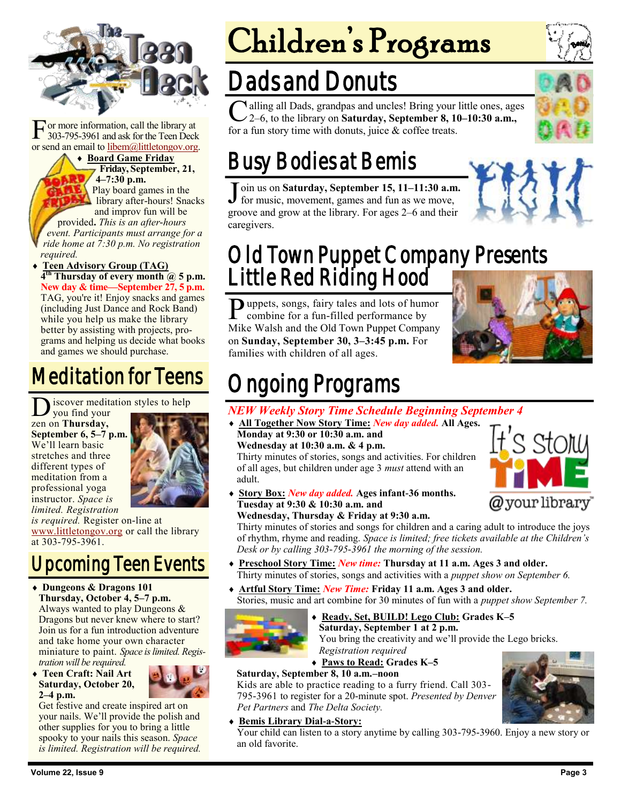

F or more information, call the library at 303-795-3961 and ask for the Teen Deck or send an email to [libem@littletongov.org.](mailto:libem@littletongov.org.)

 **Board Game Friday Friday, September, 21, 4–7:30 p.m.** Play board games in the library after-hours! Snacks and improv fun will be provided**.** *This is an after-hours event. Participants must arrange for a ride home at 7:30 p.m. No registration required.*

 **Teen Advisory Group (TAG) 4 th Thursday of every month @ 5 p.m. New day & time—September 27, 5 p.m.** TAG, you're it! Enjoy snacks and games (including Just Dance and Rock Band) while you help us make the library better by assisting with projects, programs and helping us decide what books and games we should purchase.

## Meditation for Teens

D zen on **Thursday,**  iscover meditation styles to help you find your **September 6, 5–7 p.m.**  We'll learn basic stretches and three different types of meditation from a professional yoga instructor. *Space is limited. Registration* 



*is required.* Register on-line at [www.littletongov.org](https://www.littletongov.org/city-services/city-departments/bemis-library/library-events-calendar/-curm-9/-cury-2018/-selcat-97) or call the library at 303-795-3961.

## Upcoming Teen Events

- **Dungeons & Dragons 101 Thursday, October 4, 5–7 p.m.** Always wanted to play Dungeons & Dragons but never knew where to start? Join us for a fun introduction adventure and take home your own character miniature to paint. *Space is limited. Registration will be required.*
- **Teen Craft: Nail Art Saturday, October 20, 2–4 p.m.**



Get festive and create inspired art on your nails. We'll provide the polish and other supplies for you to bring a little spooky to your nails this season. *Space is limited. Registration will be required.*

# Children's Programs

## Dads and Donuts

C alling all Dads, grandpas and uncles! Bring your little ones, ages 2-6, to the library on Saturday, September 8, 10-10:30 a.m., 2–6, to the library on **Saturday, September 8, 10–10:30 a.m.,**  for a fun story time with donuts, juice & coffee treats.

## Busy Bodies at Bemis

J oin us on Saturday, September 15, 11-11:30 a.m<br>for music, movement, games and fun as we move, oin us on **Saturday, September 15, 11–11:30 a.m.**  groove and grow at the library. For ages 2–6 and their caregivers.

### Old Town Puppet Company Presents Little Red Riding Hood

Puppets, songs, fairy tales and lots of humor<br>combine for a fun-filled performance by combine for a fun-filled performance by Mike Walsh and the Old Town Puppet Company on **Sunday, September 30, 3–3:45 p.m.** For families with children of all ages.



t's stowy

@your library

## Ongoing Programs

#### *NEW Weekly Story Time Schedule Beginning September 4*

- **All Together Now Story Time:** *New day added.* **All Ages. Monday at 9:30 or 10:30 a.m. and Wednesday at 10:30 a.m. & 4 p.m.** Thirty minutes of stories, songs and activities. For children of all ages, but children under age 3 *must* attend with an adult.
- **Story Box:** *New day added.* **Ages infant-36 months. Tuesday at 9:30 & 10:30 a.m. and Wednesday, Thursday & Friday at 9:30 a.m.**

Thirty minutes of stories and songs for children and a caring adult to introduce the joys of rhythm, rhyme and reading. *Space is limited; free tickets available at the Children's Desk or by calling 303-795-3961 the morning of the session.*

- **Preschool Story Time:** *New time:* **Thursday at 11 a.m. Ages 3 and older.** Thirty minutes of stories, songs and activities with a *puppet show on September 6.*
- **Artful Story Time:** *New Time:* **Friday 11 a.m. Ages 3 and older.** Stories, music and art combine for 30 minutes of fun with a *puppet show September 7.*



 **Ready, Set, BUILD! Lego Club: Grades K–5 Saturday, September 1 at 2 p.m.**

You bring the creativity and we'll provide the Lego bricks. *Registration required*

**Paws to Read: Grades K–5**

#### **Saturday, September 8, 10 a.m.–noon**

Kids are able to practice reading to a furry friend. Call 303- 795-3961 to register for a 20-minute spot. *Presented by Denver Pet Partners* and *The Delta Society.*

#### **Bemis Library Dial-a-Story:**

Your child can listen to a story anytime by calling 303-795-3960. Enjoy a new story or an old favorite.